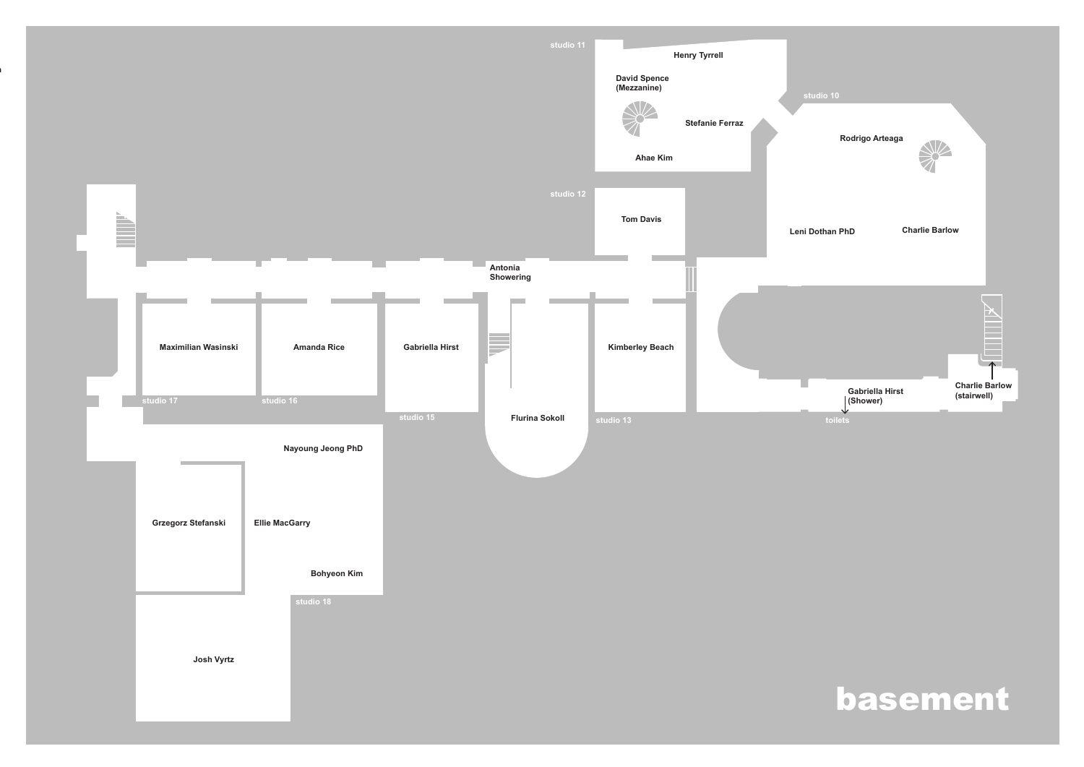**Zinna Brigh Mac-Eochaidh**

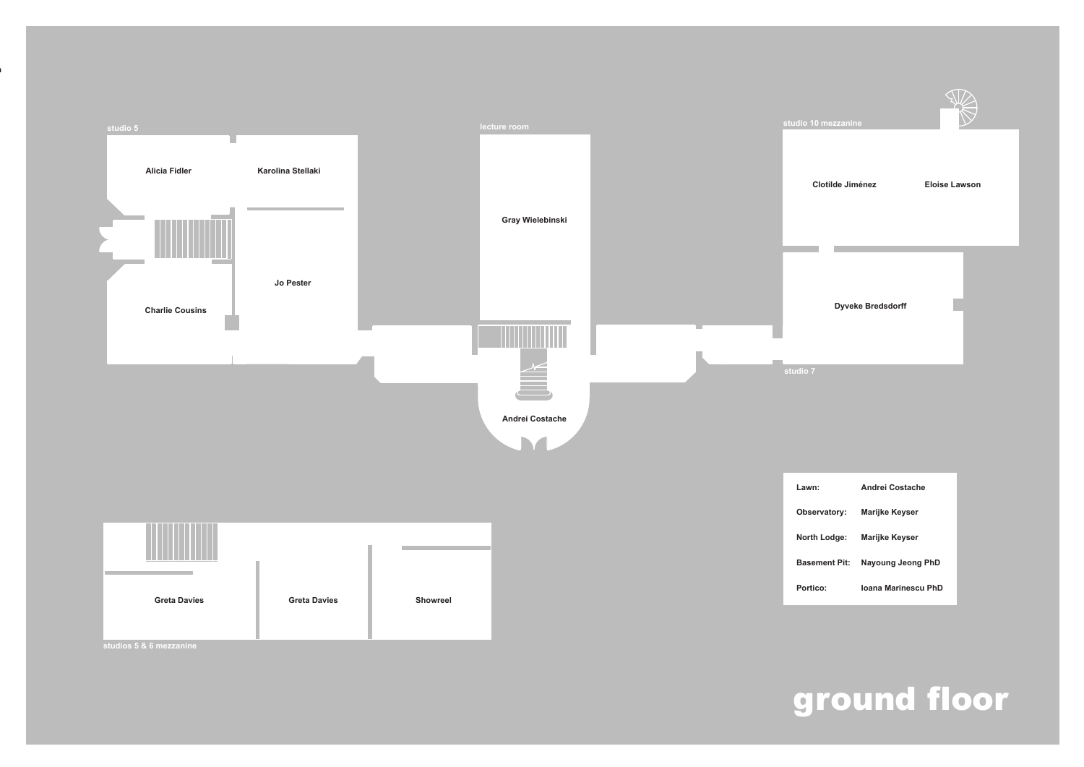## ground floor



**studios 5 & 6 mezzanine**

**Dyveke Bredsdorff**

**Zinna Brigh Mac-Eochaidh**



**The Co** 

**Clotilde Jiménez Eloise Lawson**

**Lawn: Andrei Costache**

| Observatory:         | <b>Marijke Keyser</b> |
|----------------------|-----------------------|
| North Lodge:         | <b>Marijke Keyser</b> |
| <b>Basement Pit:</b> | Nayoung Jeong PhD     |

| :О: | <b>Ioana Marinescu PhD</b> |  |
|-----|----------------------------|--|
|     |                            |  |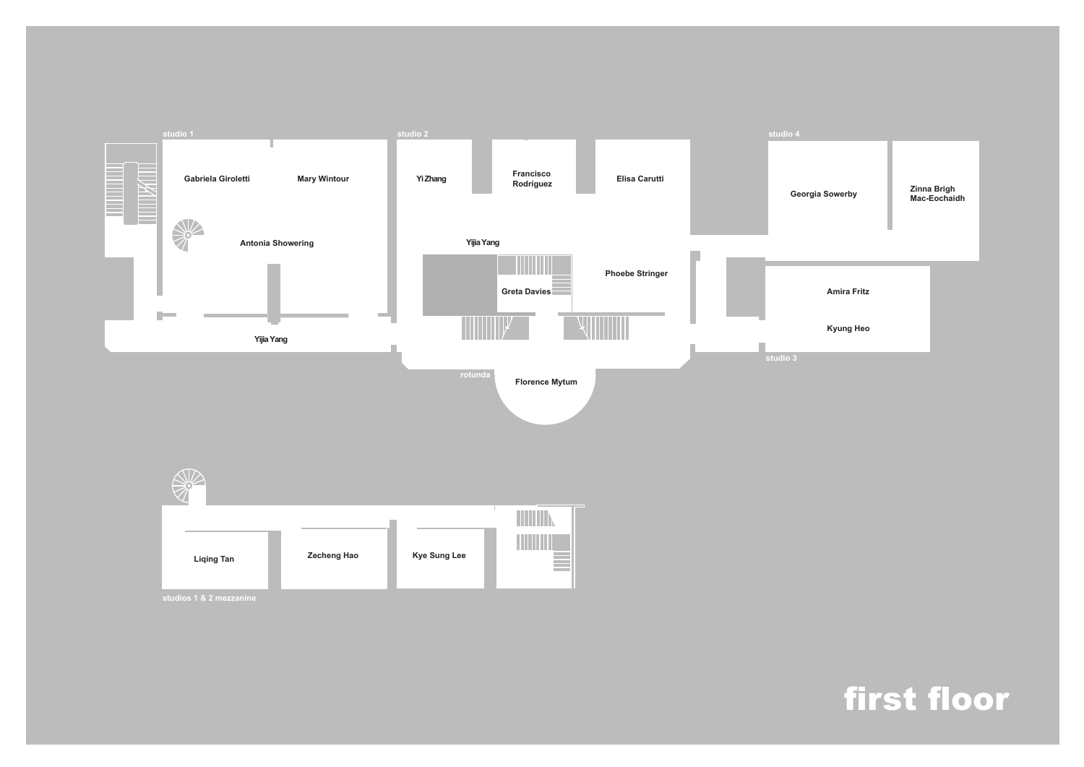## first floor